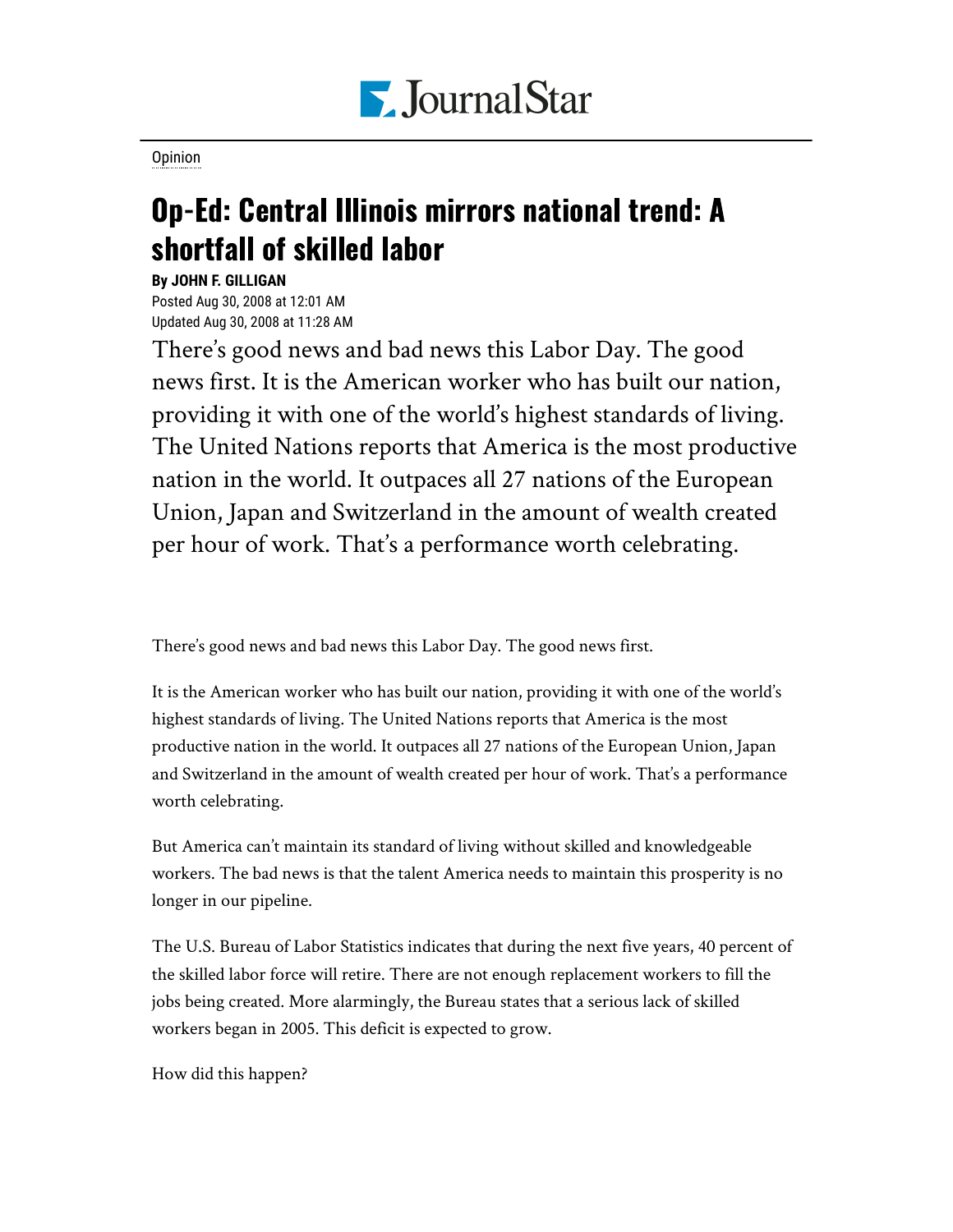

[Opinion](https://www.pjstar.com/search?text=Opinion)

## Op-Ed: Central Illinois mirrors national trend: A shortfall of skilled labor

## **By JOHN F. GILLIGAN**

Posted Aug 30, 2008 at 12:01 AM Updated Aug 30, 2008 at 11:28 AM

There's good news and bad news this Labor Day. The good news first. It is the American worker who has built our nation, providing it with one of the world's highest standards of living. The United Nations reports that America is the most productive nation in the world. It outpaces all 27 nations of the European Union, Japan and Switzerland in the amount of wealth created per hour of work. That's a performance worth celebrating.

There's good news and bad news this Labor Day. The good news first.

It is the American worker who has built our nation, providing it with one of the world's highest standards of living. The United Nations reports that America is the most productive nation in the world. It outpaces all 27 nations of the European Union, Japan and Switzerland in the amount of wealth created per hour of work. That's a performance worth celebrating.

But America can't maintain its standard of living without skilled and knowledgeable workers. The bad news is that the talent America needs to maintain this prosperity is no longer in our pipeline.

The U.S. Bureau of Labor Statistics indicates that during the next five years, 40 percent of the skilled labor force will retire. There are not enough replacement workers to fill the jobs being created. More alarmingly, the Bureau states that a serious lack of skilled workers began in 2005. This deficit is expected to grow.

How did this happen?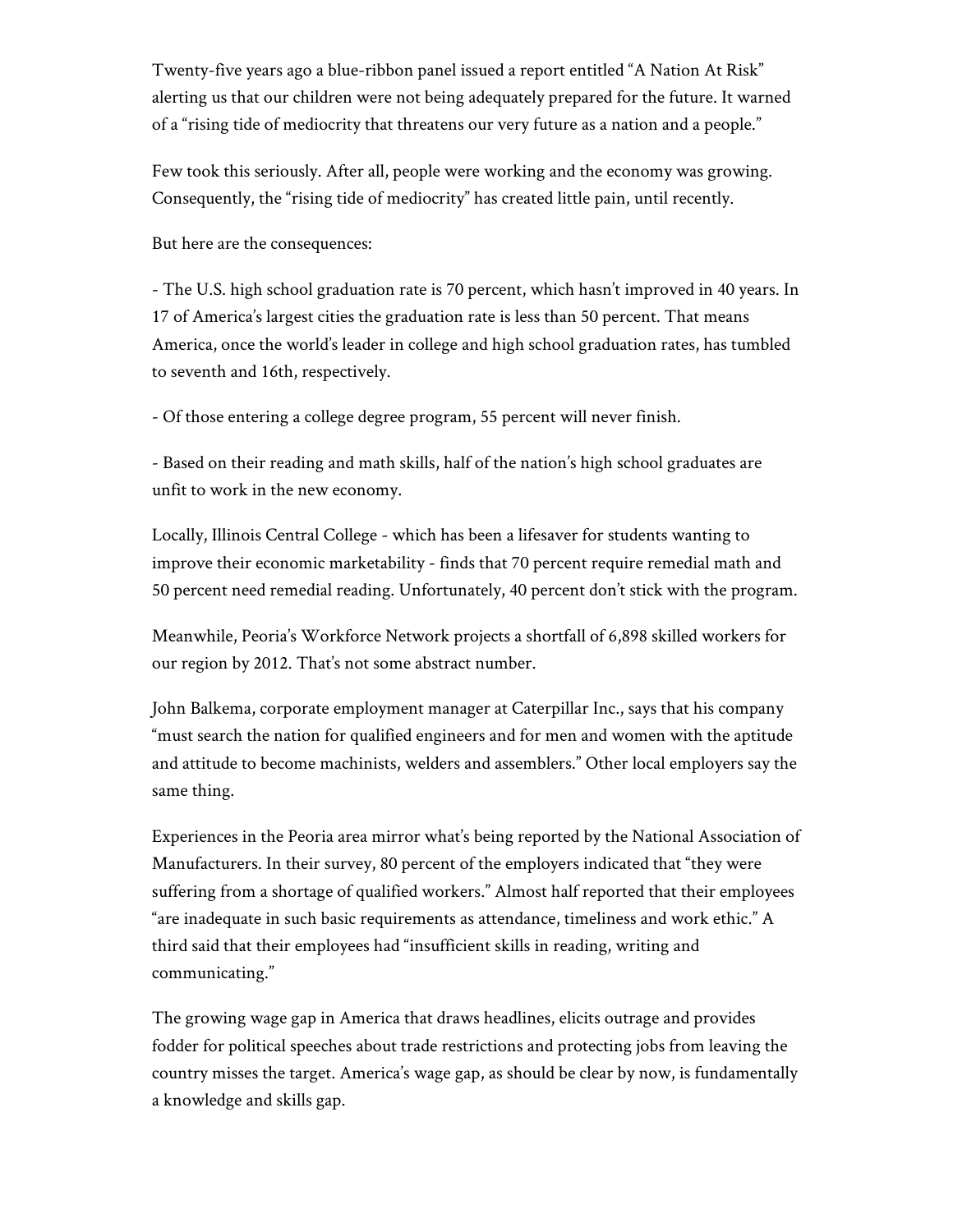Twenty-five years ago a blue-ribbon panel issued a report entitled "A Nation At Risk" alerting us that our children were not being adequately prepared for the future. It warned of a "rising tide of mediocrity that threatens our very future as a nation and a people."

Few took this seriously. After all, people were working and the economy was growing. Consequently, the "rising tide of mediocrity" has created little pain, until recently.

But here are the consequences:

- The U.S. high school graduation rate is 70 percent, which hasn't improved in 40 years. In 17 of America's largest cities the graduation rate is less than 50 percent. That means America, once the world's leader in college and high school graduation rates, has tumbled to seventh and 16th, respectively.

- Of those entering a college degree program, 55 percent will never finish.

- Based on their reading and math skills, half of the nation's high school graduates are unfit to work in the new economy.

Locally, Illinois Central College - which has been a lifesaver for students wanting to improve their economic marketability - finds that 70 percent require remedial math and 50 percent need remedial reading. Unfortunately, 40 percent don't stick with the program.

Meanwhile, Peoria's Workforce Network projects a shortfall of 6,898 skilled workers for our region by 2012. That's not some abstract number.

John Balkema, corporate employment manager at Caterpillar Inc., says that his company "must search the nation for qualified engineers and for men and women with the aptitude and attitude to become machinists, welders and assemblers." Other local employers say the same thing.

Experiences in the Peoria area mirror what's being reported by the National Association of Manufacturers. In their survey, 80 percent of the employers indicated that "they were suffering from a shortage of qualified workers." Almost half reported that their employees "are inadequate in such basic requirements as attendance, timeliness and work ethic." A third said that their employees had "insufficient skills in reading, writing and communicating."

The growing wage gap in America that draws headlines, elicits outrage and provides fodder for political speeches about trade restrictions and protecting jobs from leaving the country misses the target. America's wage gap, as should be clear by now, is fundamentally a knowledge and skills gap.